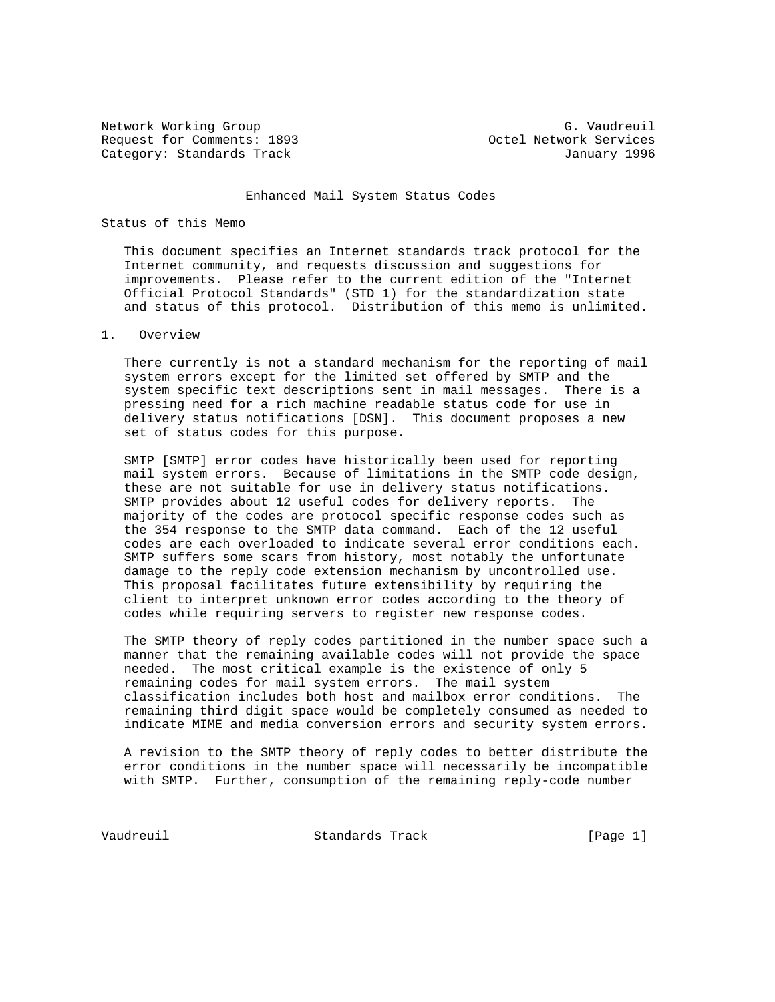Network Working Group G. Vaudreuil Request for Comments: 1893 Octel Network Services Category: Standards Track January 1996

#### Enhanced Mail System Status Codes

#### Status of this Memo

 This document specifies an Internet standards track protocol for the Internet community, and requests discussion and suggestions for improvements. Please refer to the current edition of the "Internet Official Protocol Standards" (STD 1) for the standardization state and status of this protocol. Distribution of this memo is unlimited.

#### 1. Overview

 There currently is not a standard mechanism for the reporting of mail system errors except for the limited set offered by SMTP and the system specific text descriptions sent in mail messages. There is a pressing need for a rich machine readable status code for use in delivery status notifications [DSN]. This document proposes a new set of status codes for this purpose.

 SMTP [SMTP] error codes have historically been used for reporting mail system errors. Because of limitations in the SMTP code design, these are not suitable for use in delivery status notifications. SMTP provides about 12 useful codes for delivery reports. The majority of the codes are protocol specific response codes such as the 354 response to the SMTP data command. Each of the 12 useful codes are each overloaded to indicate several error conditions each. SMTP suffers some scars from history, most notably the unfortunate damage to the reply code extension mechanism by uncontrolled use. This proposal facilitates future extensibility by requiring the client to interpret unknown error codes according to the theory of codes while requiring servers to register new response codes.

 The SMTP theory of reply codes partitioned in the number space such a manner that the remaining available codes will not provide the space needed. The most critical example is the existence of only 5 remaining codes for mail system errors. The mail system classification includes both host and mailbox error conditions. The remaining third digit space would be completely consumed as needed to indicate MIME and media conversion errors and security system errors.

 A revision to the SMTP theory of reply codes to better distribute the error conditions in the number space will necessarily be incompatible with SMTP. Further, consumption of the remaining reply-code number

Vaudreuil **Standards Track** [Page 1]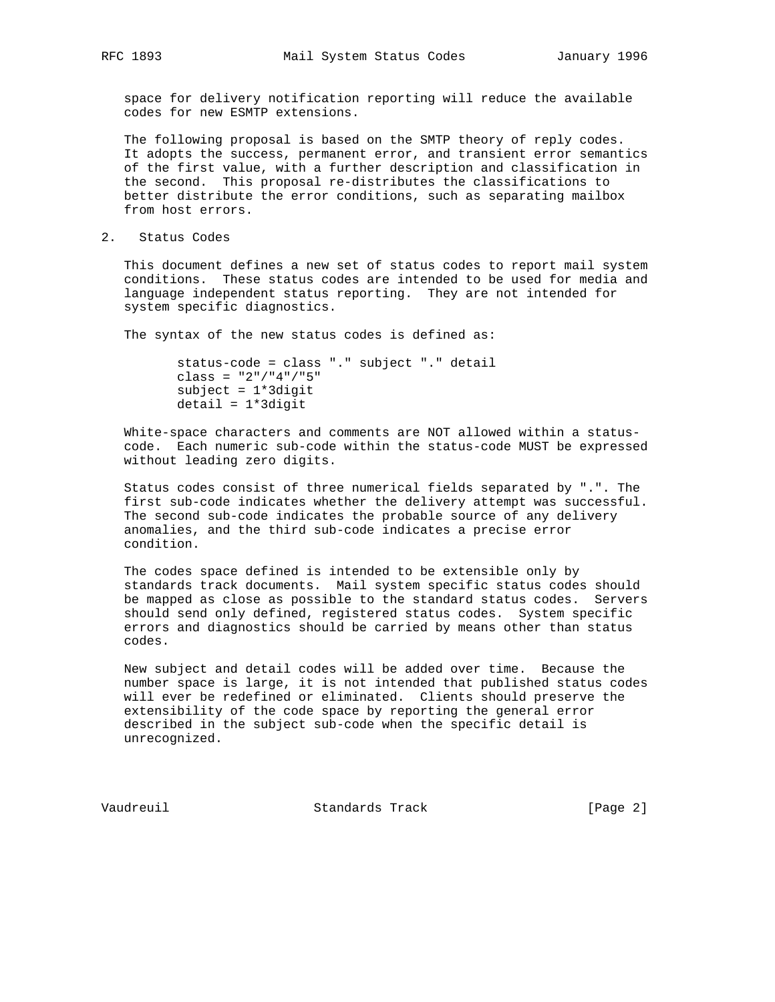space for delivery notification reporting will reduce the available codes for new ESMTP extensions.

 The following proposal is based on the SMTP theory of reply codes. It adopts the success, permanent error, and transient error semantics of the first value, with a further description and classification in the second. This proposal re-distributes the classifications to better distribute the error conditions, such as separating mailbox from host errors.

2. Status Codes

 This document defines a new set of status codes to report mail system conditions. These status codes are intended to be used for media and language independent status reporting. They are not intended for system specific diagnostics.

The syntax of the new status codes is defined as:

```
 status-code = class "." subject "." detail
class = "2" / "4" / "5"subject = 1*3digit detail = 1*3digit
```
 White-space characters and comments are NOT allowed within a status code. Each numeric sub-code within the status-code MUST be expressed without leading zero digits.

 Status codes consist of three numerical fields separated by ".". The first sub-code indicates whether the delivery attempt was successful. The second sub-code indicates the probable source of any delivery anomalies, and the third sub-code indicates a precise error condition.

 The codes space defined is intended to be extensible only by standards track documents. Mail system specific status codes should be mapped as close as possible to the standard status codes. Servers should send only defined, registered status codes. System specific errors and diagnostics should be carried by means other than status codes.

 New subject and detail codes will be added over time. Because the number space is large, it is not intended that published status codes will ever be redefined or eliminated. Clients should preserve the extensibility of the code space by reporting the general error described in the subject sub-code when the specific detail is unrecognized.

Vaudreuil Standards Track [Page 2]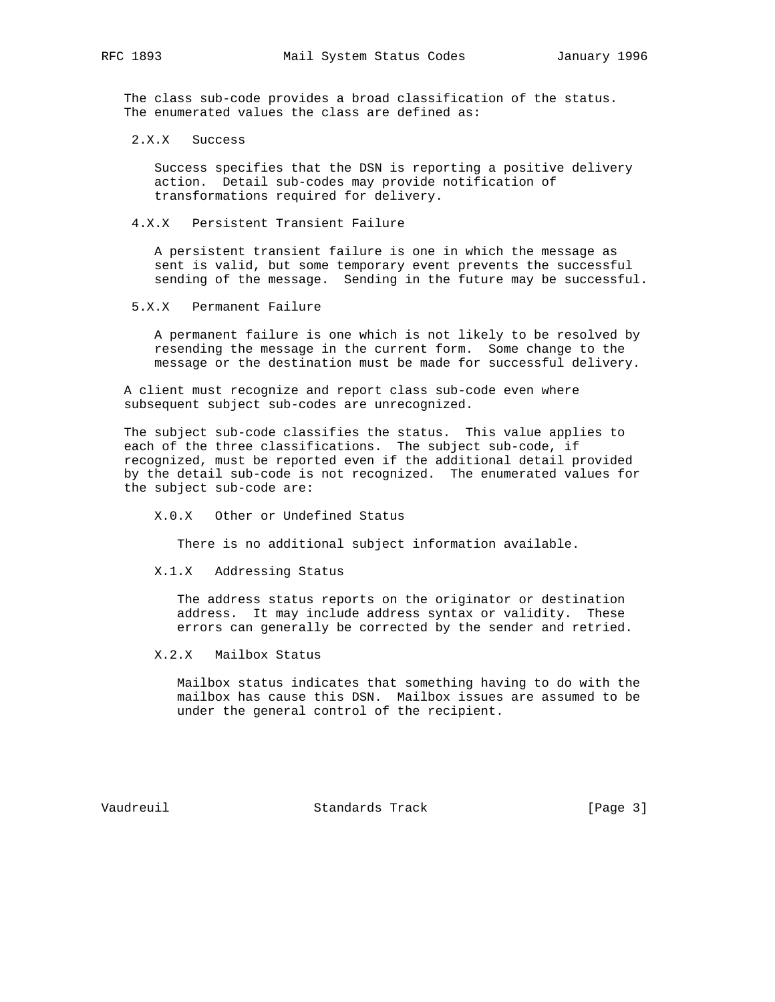The class sub-code provides a broad classification of the status. The enumerated values the class are defined as:

2.X.X Success

 Success specifies that the DSN is reporting a positive delivery action. Detail sub-codes may provide notification of transformations required for delivery.

4.X.X Persistent Transient Failure

 A persistent transient failure is one in which the message as sent is valid, but some temporary event prevents the successful sending of the message. Sending in the future may be successful.

5.X.X Permanent Failure

 A permanent failure is one which is not likely to be resolved by resending the message in the current form. Some change to the message or the destination must be made for successful delivery.

 A client must recognize and report class sub-code even where subsequent subject sub-codes are unrecognized.

 The subject sub-code classifies the status. This value applies to each of the three classifications. The subject sub-code, if recognized, must be reported even if the additional detail provided by the detail sub-code is not recognized. The enumerated values for the subject sub-code are:

X.0.X Other or Undefined Status

There is no additional subject information available.

X.1.X Addressing Status

 The address status reports on the originator or destination address. It may include address syntax or validity. These errors can generally be corrected by the sender and retried.

X.2.X Mailbox Status

 Mailbox status indicates that something having to do with the mailbox has cause this DSN. Mailbox issues are assumed to be under the general control of the recipient.

Vaudreuil Standards Track [Page 3]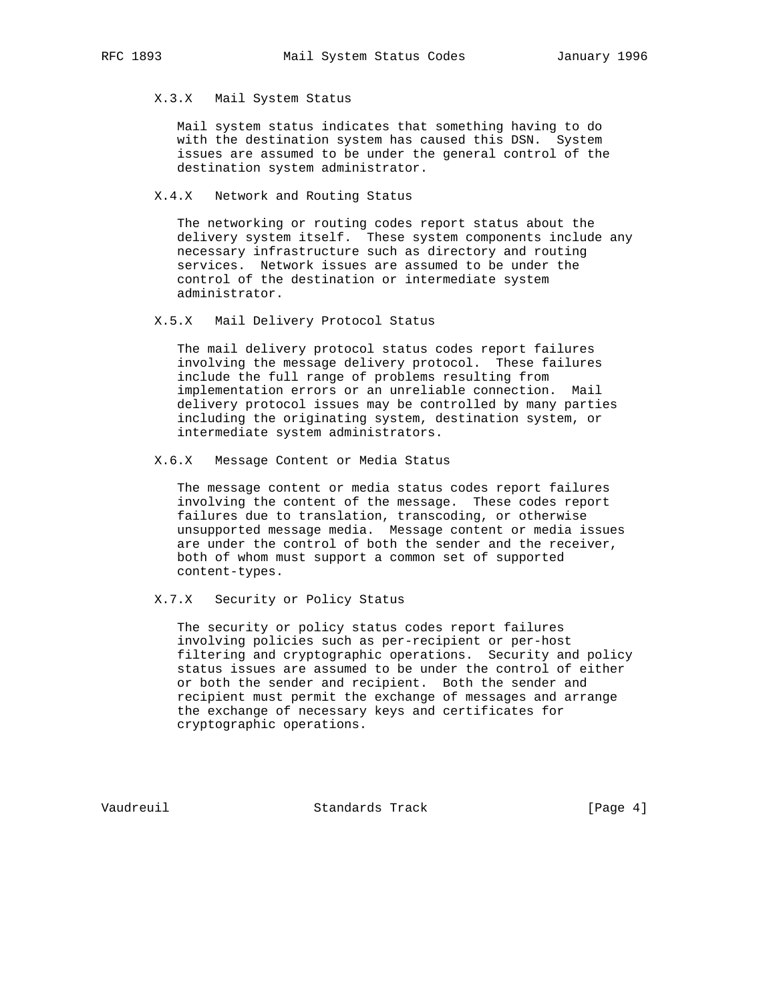## X.3.X Mail System Status

 Mail system status indicates that something having to do with the destination system has caused this DSN. System issues are assumed to be under the general control of the destination system administrator.

## X.4.X Network and Routing Status

 The networking or routing codes report status about the delivery system itself. These system components include any necessary infrastructure such as directory and routing services. Network issues are assumed to be under the control of the destination or intermediate system administrator.

## X.5.X Mail Delivery Protocol Status

 The mail delivery protocol status codes report failures involving the message delivery protocol. These failures include the full range of problems resulting from implementation errors or an unreliable connection. Mail delivery protocol issues may be controlled by many parties including the originating system, destination system, or intermediate system administrators.

#### X.6.X Message Content or Media Status

 The message content or media status codes report failures involving the content of the message. These codes report failures due to translation, transcoding, or otherwise unsupported message media. Message content or media issues are under the control of both the sender and the receiver, both of whom must support a common set of supported content-types.

# X.7.X Security or Policy Status

 The security or policy status codes report failures involving policies such as per-recipient or per-host filtering and cryptographic operations. Security and policy status issues are assumed to be under the control of either or both the sender and recipient. Both the sender and recipient must permit the exchange of messages and arrange the exchange of necessary keys and certificates for cryptographic operations.

Vaudreuil Standards Track [Page 4]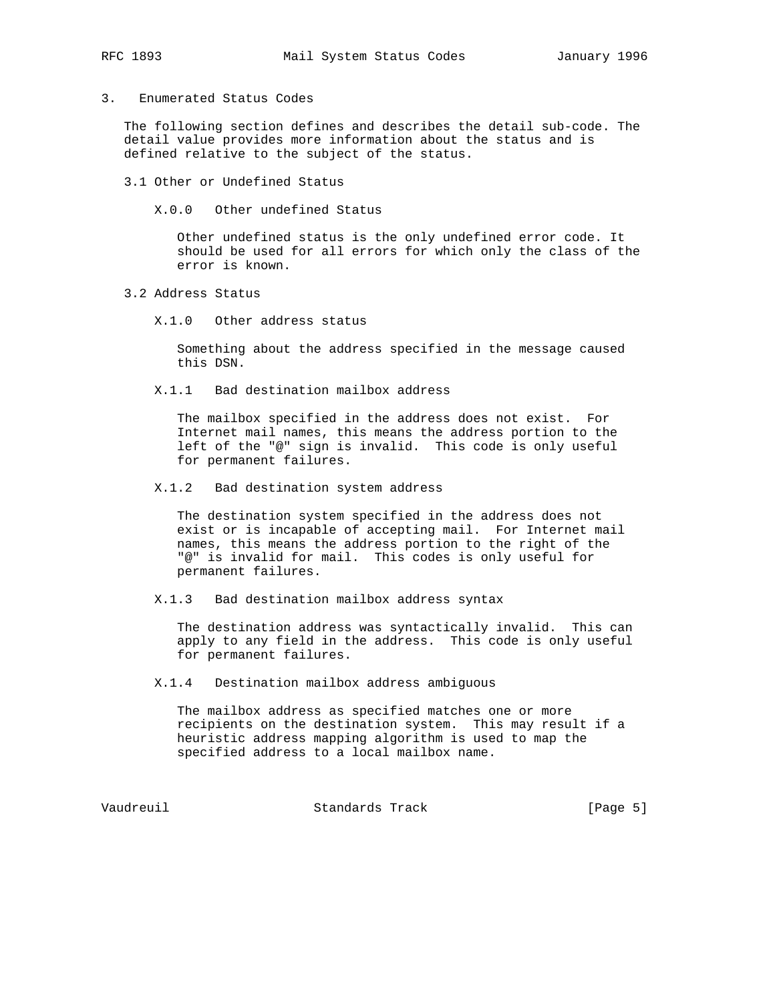3. Enumerated Status Codes

 The following section defines and describes the detail sub-code. The detail value provides more information about the status and is defined relative to the subject of the status.

3.1 Other or Undefined Status

X.0.0 Other undefined Status

 Other undefined status is the only undefined error code. It should be used for all errors for which only the class of the error is known.

- 3.2 Address Status
	- X.1.0 Other address status

 Something about the address specified in the message caused this DSN.

X.1.1 Bad destination mailbox address

 The mailbox specified in the address does not exist. For Internet mail names, this means the address portion to the left of the "@" sign is invalid. This code is only useful for permanent failures.

X.1.2 Bad destination system address

 The destination system specified in the address does not exist or is incapable of accepting mail. For Internet mail names, this means the address portion to the right of the "@" is invalid for mail. This codes is only useful for permanent failures.

X.1.3 Bad destination mailbox address syntax

 The destination address was syntactically invalid. This can apply to any field in the address. This code is only useful for permanent failures.

X.1.4 Destination mailbox address ambiguous

 The mailbox address as specified matches one or more recipients on the destination system. This may result if a heuristic address mapping algorithm is used to map the specified address to a local mailbox name.

Vaudreuil **Standards Track** [Page 5]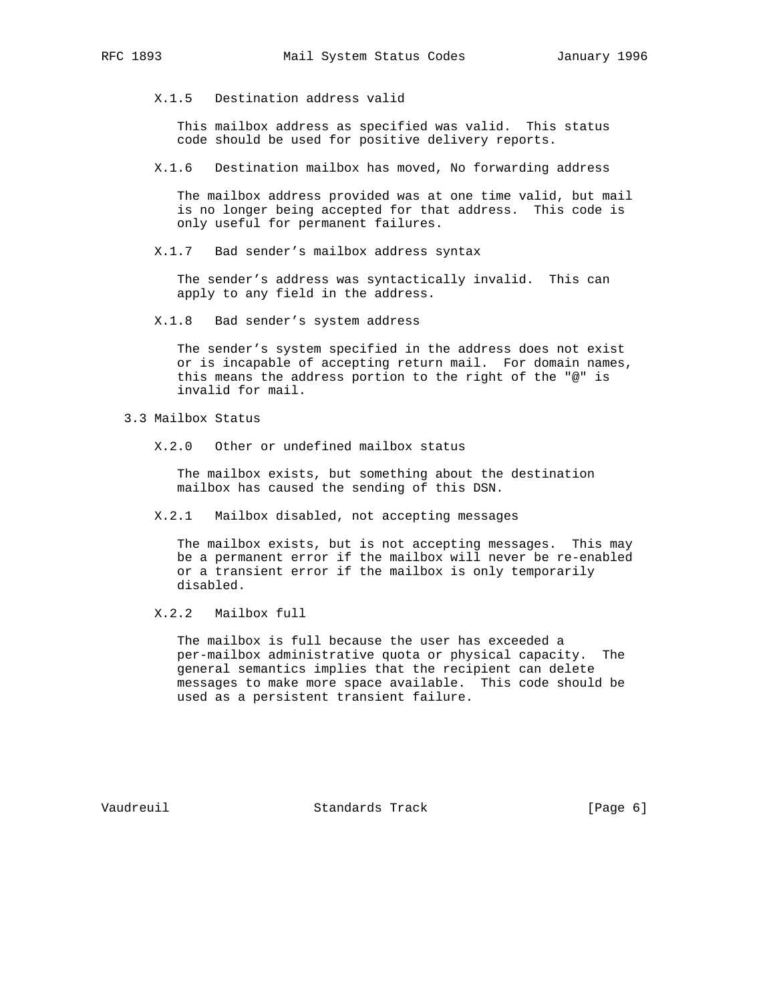X.1.5 Destination address valid

 This mailbox address as specified was valid. This status code should be used for positive delivery reports.

X.1.6 Destination mailbox has moved, No forwarding address

 The mailbox address provided was at one time valid, but mail is no longer being accepted for that address. This code is only useful for permanent failures.

X.1.7 Bad sender's mailbox address syntax

 The sender's address was syntactically invalid. This can apply to any field in the address.

X.1.8 Bad sender's system address

 The sender's system specified in the address does not exist or is incapable of accepting return mail. For domain names, this means the address portion to the right of the "@" is invalid for mail.

3.3 Mailbox Status

X.2.0 Other or undefined mailbox status

 The mailbox exists, but something about the destination mailbox has caused the sending of this DSN.

X.2.1 Mailbox disabled, not accepting messages

 The mailbox exists, but is not accepting messages. This may be a permanent error if the mailbox will never be re-enabled or a transient error if the mailbox is only temporarily disabled.

X.2.2 Mailbox full

 The mailbox is full because the user has exceeded a per-mailbox administrative quota or physical capacity. The general semantics implies that the recipient can delete messages to make more space available. This code should be used as a persistent transient failure.

Vaudreuil **Standards Track** [Page 6]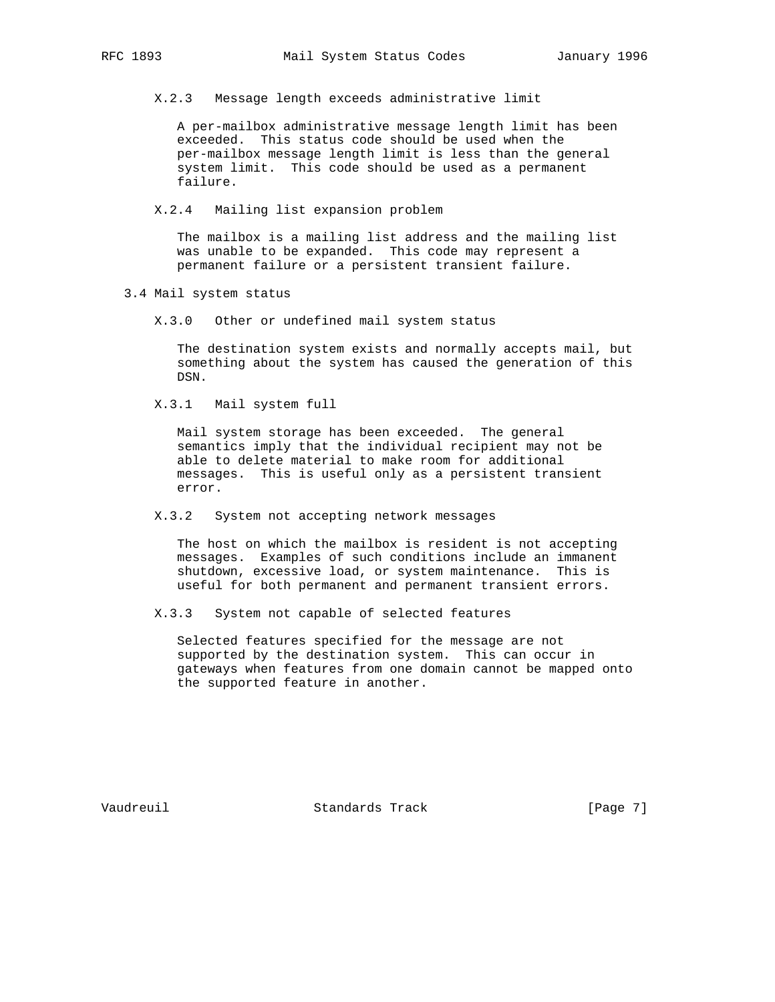X.2.3 Message length exceeds administrative limit

 A per-mailbox administrative message length limit has been exceeded. This status code should be used when the per-mailbox message length limit is less than the general system limit. This code should be used as a permanent failure.

X.2.4 Mailing list expansion problem

 The mailbox is a mailing list address and the mailing list was unable to be expanded. This code may represent a permanent failure or a persistent transient failure.

3.4 Mail system status

X.3.0 Other or undefined mail system status

 The destination system exists and normally accepts mail, but something about the system has caused the generation of this DSN.

X.3.1 Mail system full

 Mail system storage has been exceeded. The general semantics imply that the individual recipient may not be able to delete material to make room for additional messages. This is useful only as a persistent transient error.

X.3.2 System not accepting network messages

 The host on which the mailbox is resident is not accepting messages. Examples of such conditions include an immanent shutdown, excessive load, or system maintenance. This is useful for both permanent and permanent transient errors.

X.3.3 System not capable of selected features

 Selected features specified for the message are not supported by the destination system. This can occur in gateways when features from one domain cannot be mapped onto the supported feature in another.

Vaudreuil **Standards Track** [Page 7]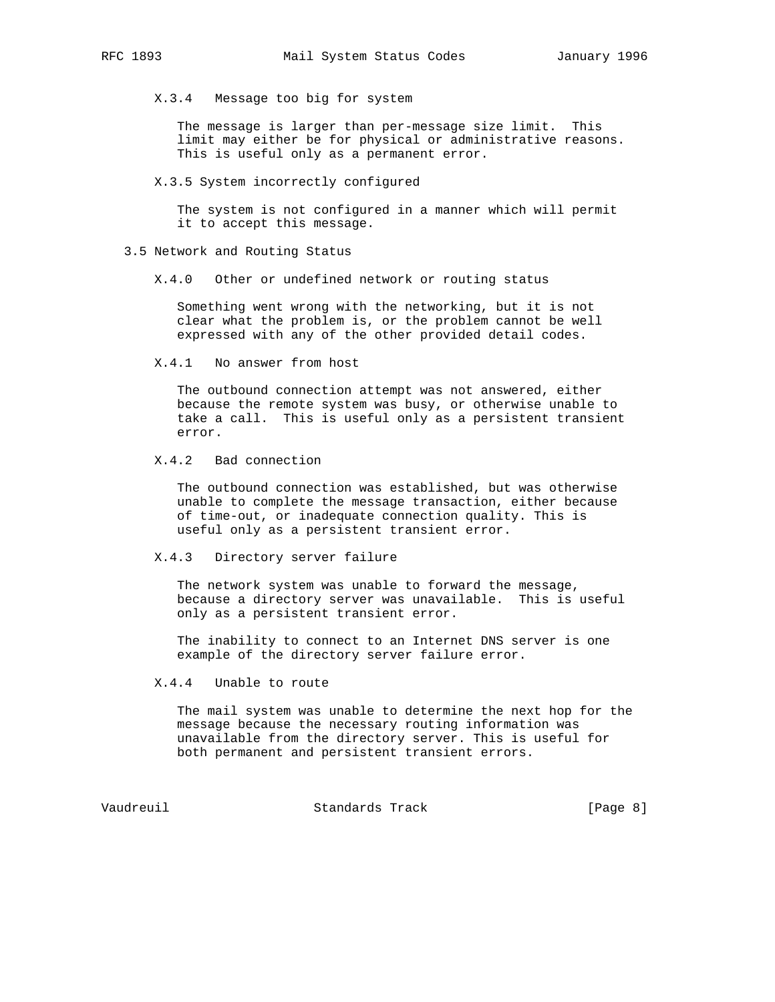X.3.4 Message too big for system

 The message is larger than per-message size limit. This limit may either be for physical or administrative reasons. This is useful only as a permanent error.

X.3.5 System incorrectly configured

 The system is not configured in a manner which will permit it to accept this message.

#### 3.5 Network and Routing Status

X.4.0 Other or undefined network or routing status

 Something went wrong with the networking, but it is not clear what the problem is, or the problem cannot be well expressed with any of the other provided detail codes.

X.4.1 No answer from host

 The outbound connection attempt was not answered, either because the remote system was busy, or otherwise unable to take a call. This is useful only as a persistent transient error.

X.4.2 Bad connection

 The outbound connection was established, but was otherwise unable to complete the message transaction, either because of time-out, or inadequate connection quality. This is useful only as a persistent transient error.

## X.4.3 Directory server failure

 The network system was unable to forward the message, because a directory server was unavailable. This is useful only as a persistent transient error.

 The inability to connect to an Internet DNS server is one example of the directory server failure error.

X.4.4 Unable to route

 The mail system was unable to determine the next hop for the message because the necessary routing information was unavailable from the directory server. This is useful for both permanent and persistent transient errors.

Vaudreuil Standards Track [Page 8]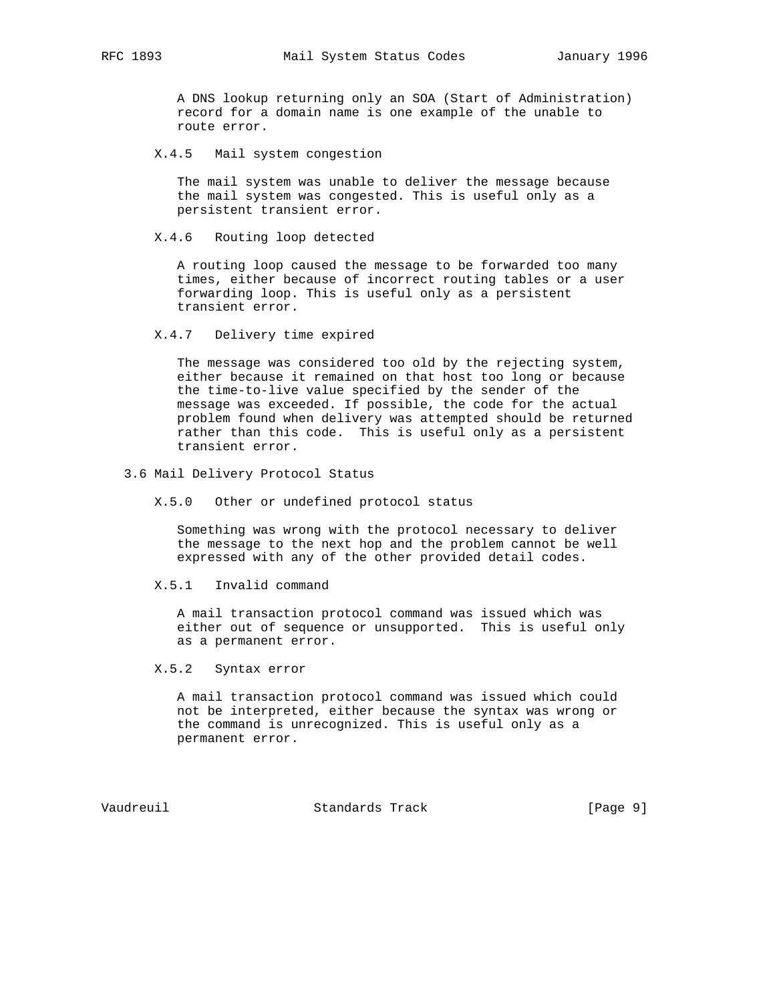A DNS lookup returning only an SOA (Start of Administration) record for a domain name is one example of the unable to route error.

X.4.5 Mail system congestion

 The mail system was unable to deliver the message because the mail system was congested. This is useful only as a persistent transient error.

X.4.6 Routing loop detected

 A routing loop caused the message to be forwarded too many times, either because of incorrect routing tables or a user forwarding loop. This is useful only as a persistent transient error.

X.4.7 Delivery time expired

 The message was considered too old by the rejecting system, either because it remained on that host too long or because the time-to-live value specified by the sender of the message was exceeded. If possible, the code for the actual problem found when delivery was attempted should be returned rather than this code. This is useful only as a persistent transient error.

- 3.6 Mail Delivery Protocol Status
	- X.5.0 Other or undefined protocol status

 Something was wrong with the protocol necessary to deliver the message to the next hop and the problem cannot be well expressed with any of the other provided detail codes.

X.5.1 Invalid command

 A mail transaction protocol command was issued which was either out of sequence or unsupported. This is useful only as a permanent error.

X.5.2 Syntax error

 A mail transaction protocol command was issued which could not be interpreted, either because the syntax was wrong or the command is unrecognized. This is useful only as a permanent error.

Vaudreuil Standards Track [Page 9]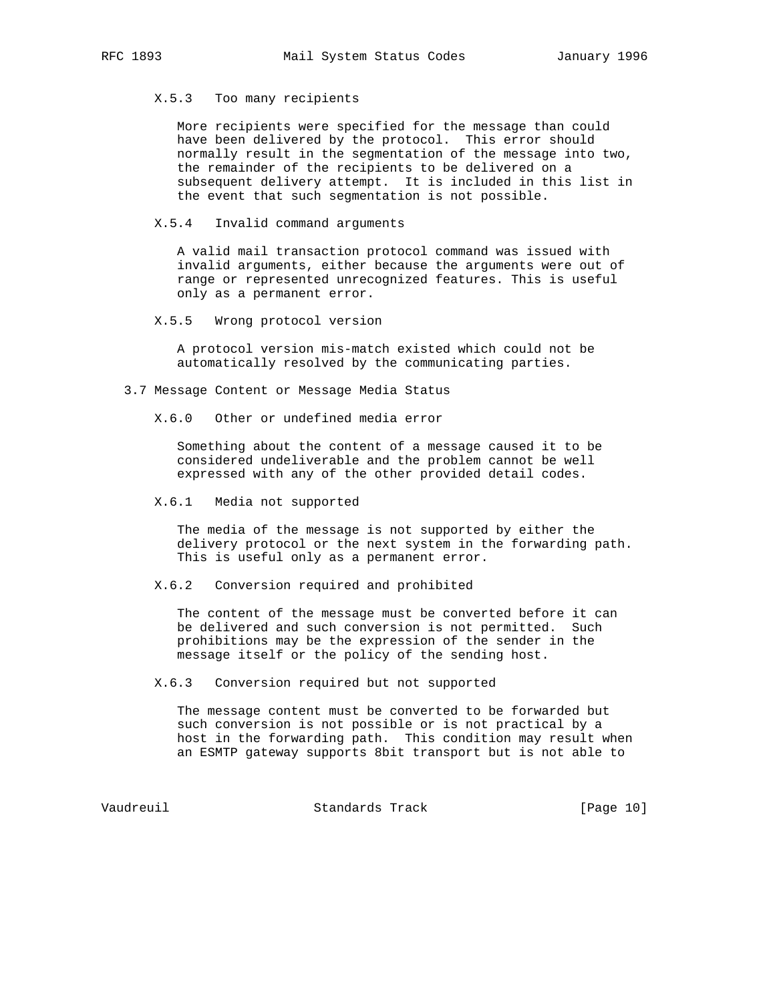# X.5.3 Too many recipients

 More recipients were specified for the message than could have been delivered by the protocol. This error should normally result in the segmentation of the message into two, the remainder of the recipients to be delivered on a subsequent delivery attempt. It is included in this list in the event that such segmentation is not possible.

## X.5.4 Invalid command arguments

 A valid mail transaction protocol command was issued with invalid arguments, either because the arguments were out of range or represented unrecognized features. This is useful only as a permanent error.

# X.5.5 Wrong protocol version

 A protocol version mis-match existed which could not be automatically resolved by the communicating parties.

3.7 Message Content or Message Media Status

X.6.0 Other or undefined media error

 Something about the content of a message caused it to be considered undeliverable and the problem cannot be well expressed with any of the other provided detail codes.

X.6.1 Media not supported

 The media of the message is not supported by either the delivery protocol or the next system in the forwarding path. This is useful only as a permanent error.

X.6.2 Conversion required and prohibited

 The content of the message must be converted before it can be delivered and such conversion is not permitted. Such prohibitions may be the expression of the sender in the message itself or the policy of the sending host.

X.6.3 Conversion required but not supported

 The message content must be converted to be forwarded but such conversion is not possible or is not practical by a host in the forwarding path. This condition may result when an ESMTP gateway supports 8bit transport but is not able to

Vaudreuil Standards Track [Page 10]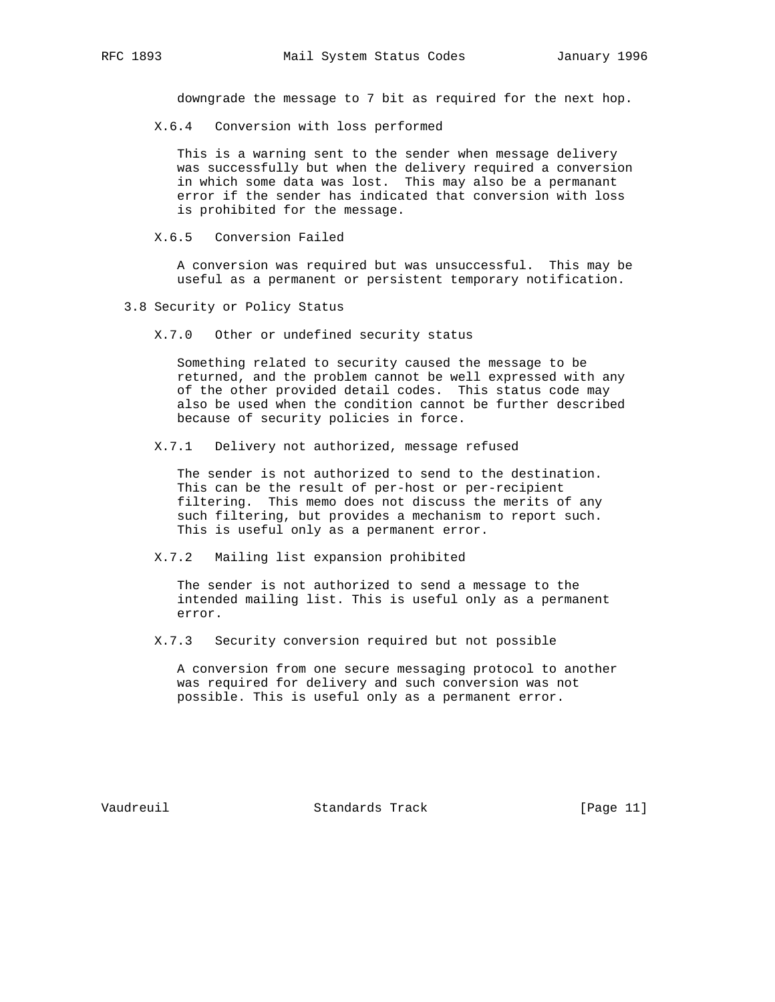downgrade the message to 7 bit as required for the next hop.

X.6.4 Conversion with loss performed

 This is a warning sent to the sender when message delivery was successfully but when the delivery required a conversion in which some data was lost. This may also be a permanant error if the sender has indicated that conversion with loss is prohibited for the message.

X.6.5 Conversion Failed

 A conversion was required but was unsuccessful. This may be useful as a permanent or persistent temporary notification.

- 3.8 Security or Policy Status
	- X.7.0 Other or undefined security status

 Something related to security caused the message to be returned, and the problem cannot be well expressed with any of the other provided detail codes. This status code may also be used when the condition cannot be further described because of security policies in force.

X.7.1 Delivery not authorized, message refused

 The sender is not authorized to send to the destination. This can be the result of per-host or per-recipient filtering. This memo does not discuss the merits of any such filtering, but provides a mechanism to report such. This is useful only as a permanent error.

#### X.7.2 Mailing list expansion prohibited

 The sender is not authorized to send a message to the intended mailing list. This is useful only as a permanent error.

X.7.3 Security conversion required but not possible

 A conversion from one secure messaging protocol to another was required for delivery and such conversion was not possible. This is useful only as a permanent error.

Vaudreuil Standards Track [Page 11]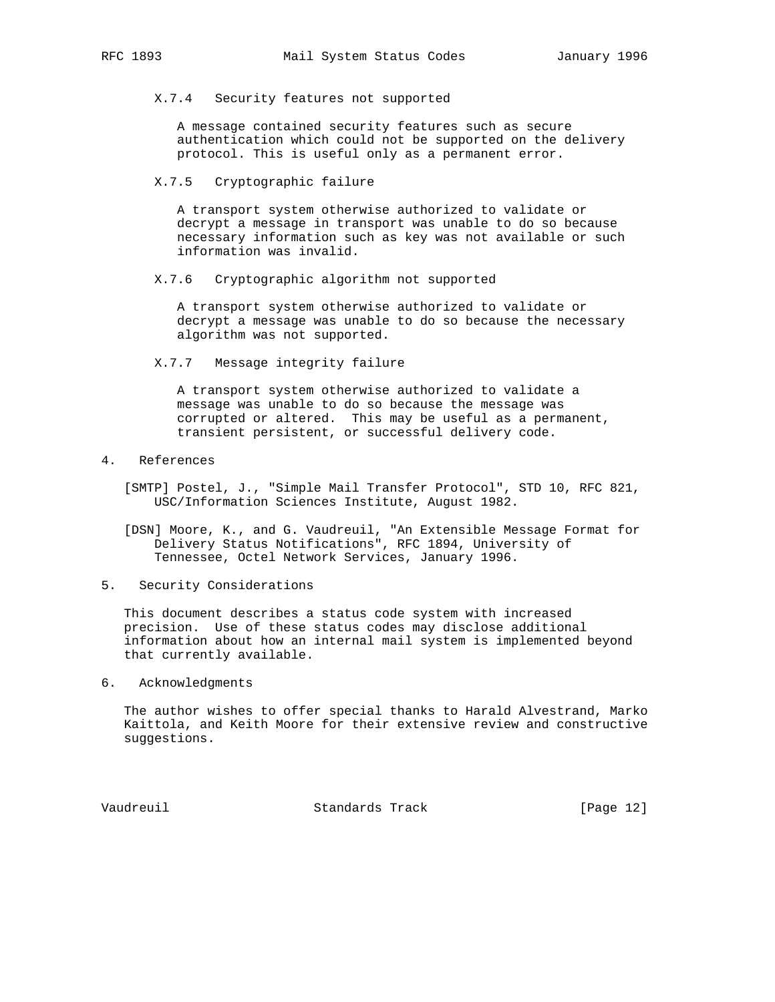# X.7.4 Security features not supported

 A message contained security features such as secure authentication which could not be supported on the delivery protocol. This is useful only as a permanent error.

X.7.5 Cryptographic failure

 A transport system otherwise authorized to validate or decrypt a message in transport was unable to do so because necessary information such as key was not available or such information was invalid.

X.7.6 Cryptographic algorithm not supported

 A transport system otherwise authorized to validate or decrypt a message was unable to do so because the necessary algorithm was not supported.

X.7.7 Message integrity failure

 A transport system otherwise authorized to validate a message was unable to do so because the message was corrupted or altered. This may be useful as a permanent, transient persistent, or successful delivery code.

# 4. References

- [SMTP] Postel, J., "Simple Mail Transfer Protocol", STD 10, RFC 821, USC/Information Sciences Institute, August 1982.
- [DSN] Moore, K., and G. Vaudreuil, "An Extensible Message Format for Delivery Status Notifications", RFC 1894, University of Tennessee, Octel Network Services, January 1996.
- 5. Security Considerations

 This document describes a status code system with increased precision. Use of these status codes may disclose additional information about how an internal mail system is implemented beyond that currently available.

6. Acknowledgments

 The author wishes to offer special thanks to Harald Alvestrand, Marko Kaittola, and Keith Moore for their extensive review and constructive suggestions.

Vaudreuil Standards Track [Page 12]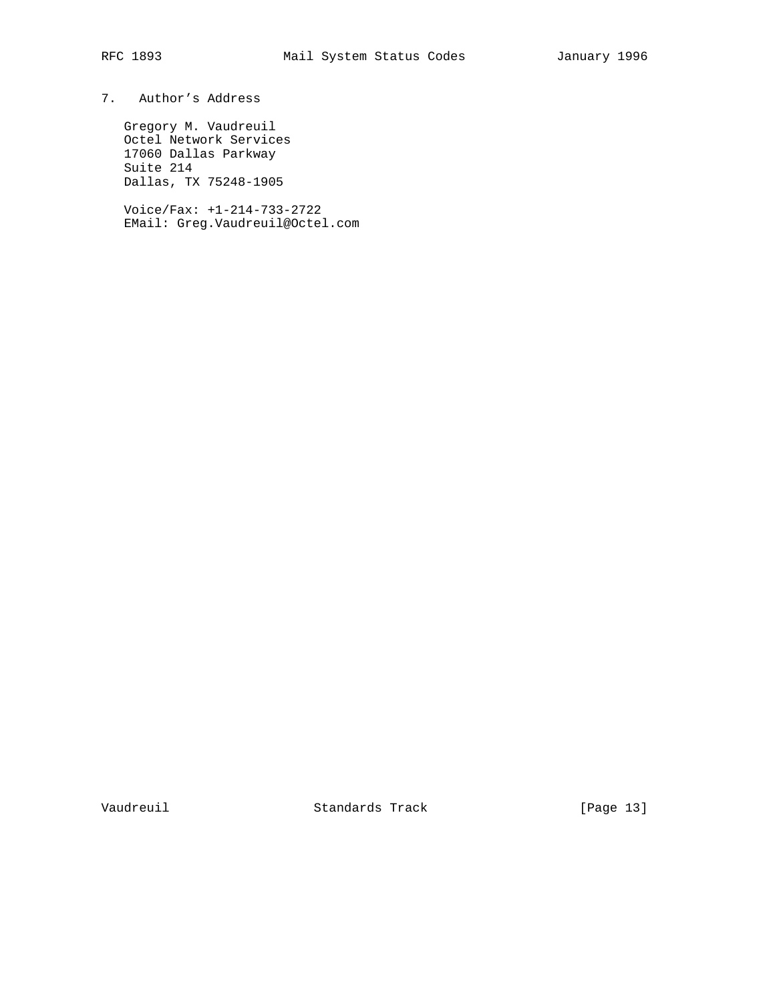# 7. Author's Address

 Gregory M. Vaudreuil Octel Network Services 17060 Dallas Parkway Suite 214 Dallas, TX 75248-1905

 Voice/Fax: +1-214-733-2722 EMail: Greg.Vaudreuil@Octel.com

Vaudreuil Standards Track [Page 13]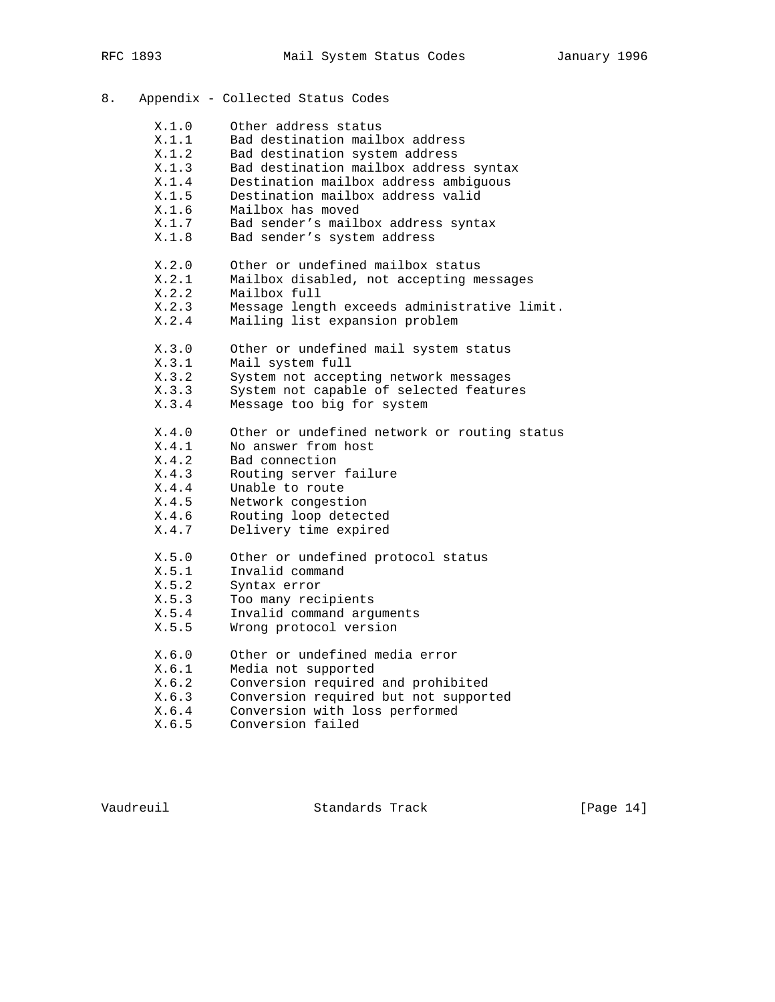| 8. |       | Appendix - Collected Status Codes            |
|----|-------|----------------------------------------------|
|    | X.1.0 | Other address status                         |
|    | X.1.1 | Bad destination mailbox address              |
|    | X.1.2 | Bad destination system address               |
|    | X.1.3 | Bad destination mailbox address syntax       |
|    | X.1.4 | Destination mailbox address ambiguous        |
|    | X.1.5 | Destination mailbox address valid            |
|    | X.1.6 | Mailbox has moved                            |
|    | X.1.7 | Bad sender's mailbox address syntax          |
|    | X.1.8 | Bad sender's system address                  |
|    | X.2.0 | Other or undefined mailbox status            |
|    | X.2.1 | Mailbox disabled, not accepting messages     |
|    | X.2.2 | Mailbox full                                 |
|    | X.2.3 | Message length exceeds administrative limit. |
|    | X.2.4 | Mailing list expansion problem               |
|    | X.3.0 | Other or undefined mail system status        |
|    | X.3.1 | Mail system full                             |
|    | X.3.2 | System not accepting network messages        |
|    | X.3.3 | System not capable of selected features      |
|    | X.3.4 | Message too big for system                   |
|    | X.4.0 | Other or undefined network or routing status |
|    | X.4.1 | No answer from host                          |
|    | X.4.2 | Bad connection                               |
|    | X.4.3 | Routing server failure                       |
|    | X.4.4 | Unable to route                              |
|    | X.4.5 | Network congestion                           |
|    | X.4.6 | Routing loop detected                        |
|    | X.4.7 | Delivery time expired                        |
|    | X.5.0 | Other or undefined protocol status           |
|    | X.5.1 | Invalid command                              |
|    | X.5.2 | Syntax error                                 |
|    | X.5.3 | Too many recipients                          |
|    | X.5.4 | Invalid command arguments                    |
|    | X.5.5 | Wrong protocol version                       |
|    | X.6.0 | Other or undefined media error               |
|    | X.6.1 | Media not supported                          |
|    | X.6.2 | Conversion required and prohibited           |
|    | X.6.3 | Conversion required but not supported        |
|    | X.6.4 | Conversion with loss performed               |
|    | X.6.5 | Conversion failed                            |

Vaudreuil Standards Track [Page 14]